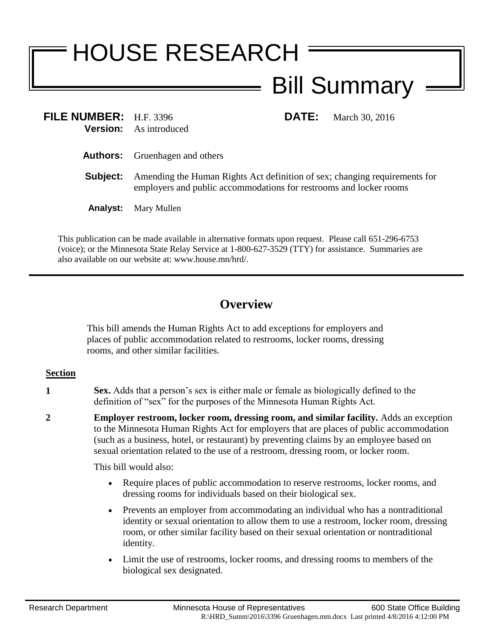## HOUSE RESEARCH Bill Summary

**FILE NUMBER:** H.F. 3396 **DATE:** March 30, 2016 **Version:** As introduced

- **Authors:** Gruenhagen and others
- **Subject:** Amending the Human Rights Act definition of sex; changing requirements for employers and public accommodations for restrooms and locker rooms
- **Analyst:** Mary Mullen

This publication can be made available in alternative formats upon request. Please call 651-296-6753 (voice); or the Minnesota State Relay Service at 1-800-627-3529 (TTY) for assistance. Summaries are also available on our website at: www.house.mn/hrd/.

## **Overview**

This bill amends the Human Rights Act to add exceptions for employers and places of public accommodation related to restrooms, locker rooms, dressing rooms, and other similar facilities.

## **Section**

- **1 Sex.** Adds that a person's sex is either male or female as biologically defined to the definition of "sex" for the purposes of the Minnesota Human Rights Act.
- **2 Employer restroom, locker room, dressing room, and similar facility.** Adds an exception to the Minnesota Human Rights Act for employers that are places of public accommodation (such as a business, hotel, or restaurant) by preventing claims by an employee based on sexual orientation related to the use of a restroom, dressing room, or locker room.

This bill would also:

- Require places of public accommodation to reserve restrooms, locker rooms, and dressing rooms for individuals based on their biological sex.
- Prevents an employer from accommodating an individual who has a nontraditional identity or sexual orientation to allow them to use a restroom, locker room, dressing room, or other similar facility based on their sexual orientation or nontraditional identity.
- Limit the use of restrooms, locker rooms, and dressing rooms to members of the biological sex designated.